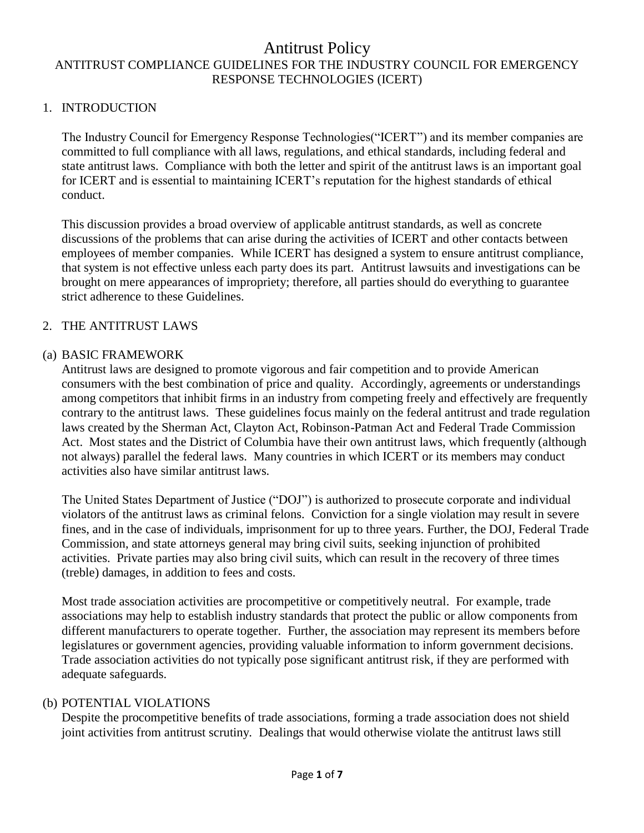#### 1. INTRODUCTION

The Industry Council for Emergency Response Technologies("ICERT") and its member companies are committed to full compliance with all laws, regulations, and ethical standards, including federal and state antitrust laws. Compliance with both the letter and spirit of the antitrust laws is an important goal for ICERT and is essential to maintaining ICERT's reputation for the highest standards of ethical conduct.

This discussion provides a broad overview of applicable antitrust standards, as well as concrete discussions of the problems that can arise during the activities of ICERT and other contacts between employees of member companies. While ICERT has designed a system to ensure antitrust compliance, that system is not effective unless each party does its part. Antitrust lawsuits and investigations can be brought on mere appearances of impropriety; therefore, all parties should do everything to guarantee strict adherence to these Guidelines.

#### 2. THE ANTITRUST LAWS

#### (a) BASIC FRAMEWORK

Antitrust laws are designed to promote vigorous and fair competition and to provide American consumers with the best combination of price and quality. Accordingly, agreements or understandings among competitors that inhibit firms in an industry from competing freely and effectively are frequently contrary to the antitrust laws. These guidelines focus mainly on the federal antitrust and trade regulation laws created by the Sherman Act, Clayton Act, Robinson-Patman Act and Federal Trade Commission Act. Most states and the District of Columbia have their own antitrust laws, which frequently (although not always) parallel the federal laws. Many countries in which ICERT or its members may conduct activities also have similar antitrust laws.

The United States Department of Justice ("DOJ") is authorized to prosecute corporate and individual violators of the antitrust laws as criminal felons. Conviction for a single violation may result in severe fines, and in the case of individuals, imprisonment for up to three years. Further, the DOJ, Federal Trade Commission, and state attorneys general may bring civil suits, seeking injunction of prohibited activities. Private parties may also bring civil suits, which can result in the recovery of three times (treble) damages, in addition to fees and costs.

Most trade association activities are procompetitive or competitively neutral. For example, trade associations may help to establish industry standards that protect the public or allow components from different manufacturers to operate together. Further, the association may represent its members before legislatures or government agencies, providing valuable information to inform government decisions. Trade association activities do not typically pose significant antitrust risk, if they are performed with adequate safeguards.

### (b) POTENTIAL VIOLATIONS

Despite the procompetitive benefits of trade associations, forming a trade association does not shield joint activities from antitrust scrutiny. Dealings that would otherwise violate the antitrust laws still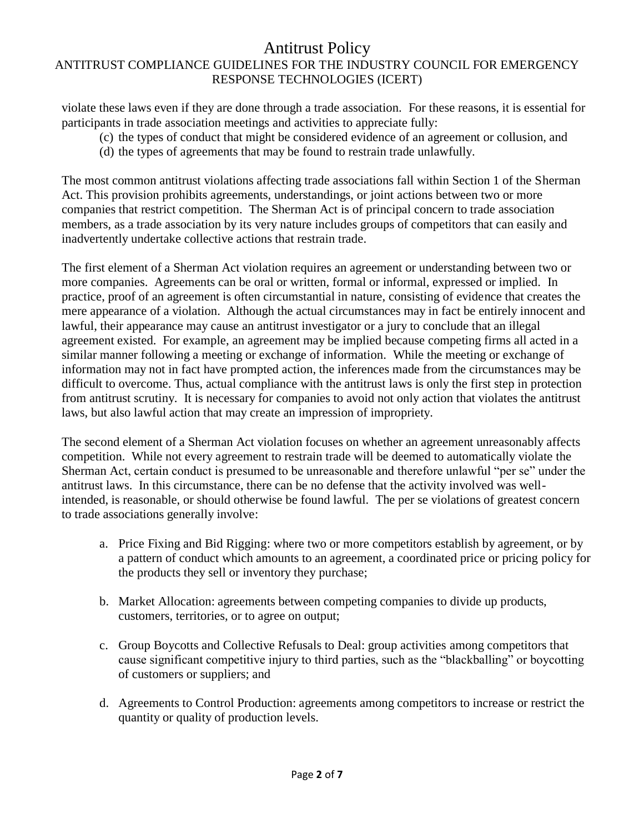violate these laws even if they are done through a trade association. For these reasons, it is essential for participants in trade association meetings and activities to appreciate fully:

- (c) the types of conduct that might be considered evidence of an agreement or collusion, and
- (d) the types of agreements that may be found to restrain trade unlawfully.

The most common antitrust violations affecting trade associations fall within Section 1 of the Sherman Act. This provision prohibits agreements, understandings, or joint actions between two or more companies that restrict competition. The Sherman Act is of principal concern to trade association members, as a trade association by its very nature includes groups of competitors that can easily and inadvertently undertake collective actions that restrain trade.

The first element of a Sherman Act violation requires an agreement or understanding between two or more companies. Agreements can be oral or written, formal or informal, expressed or implied. In practice, proof of an agreement is often circumstantial in nature, consisting of evidence that creates the mere appearance of a violation. Although the actual circumstances may in fact be entirely innocent and lawful, their appearance may cause an antitrust investigator or a jury to conclude that an illegal agreement existed. For example, an agreement may be implied because competing firms all acted in a similar manner following a meeting or exchange of information. While the meeting or exchange of information may not in fact have prompted action, the inferences made from the circumstances may be difficult to overcome. Thus, actual compliance with the antitrust laws is only the first step in protection from antitrust scrutiny. It is necessary for companies to avoid not only action that violates the antitrust laws, but also lawful action that may create an impression of impropriety.

The second element of a Sherman Act violation focuses on whether an agreement unreasonably affects competition. While not every agreement to restrain trade will be deemed to automatically violate the Sherman Act, certain conduct is presumed to be unreasonable and therefore unlawful "per se" under the antitrust laws. In this circumstance, there can be no defense that the activity involved was wellintended, is reasonable, or should otherwise be found lawful. The per se violations of greatest concern to trade associations generally involve:

- a. Price Fixing and Bid Rigging: where two or more competitors establish by agreement, or by a pattern of conduct which amounts to an agreement, a coordinated price or pricing policy for the products they sell or inventory they purchase;
- b. Market Allocation: agreements between competing companies to divide up products, customers, territories, or to agree on output;
- c. Group Boycotts and Collective Refusals to Deal: group activities among competitors that cause significant competitive injury to third parties, such as the "blackballing" or boycotting of customers or suppliers; and
- d. Agreements to Control Production: agreements among competitors to increase or restrict the quantity or quality of production levels.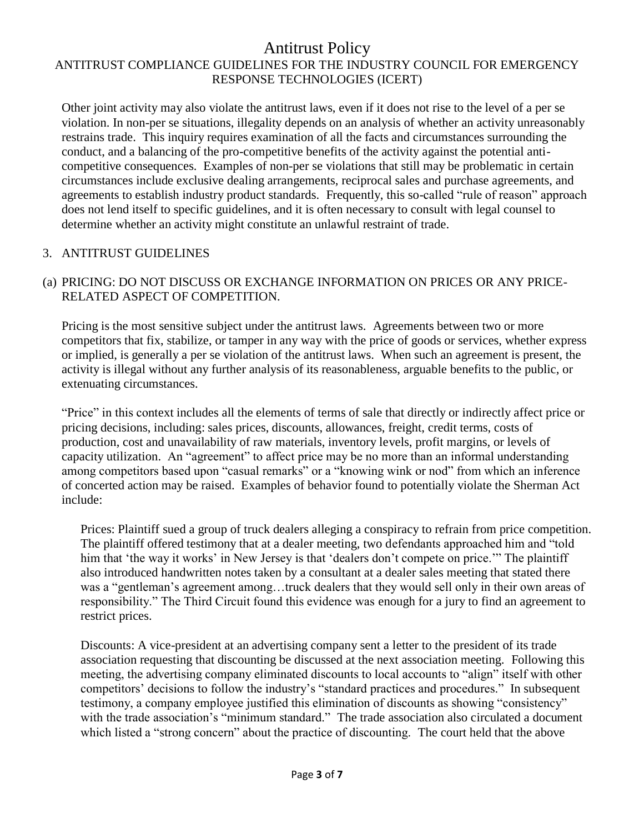Other joint activity may also violate the antitrust laws, even if it does not rise to the level of a per se violation. In non-per se situations, illegality depends on an analysis of whether an activity unreasonably restrains trade. This inquiry requires examination of all the facts and circumstances surrounding the conduct, and a balancing of the pro-competitive benefits of the activity against the potential anticompetitive consequences. Examples of non-per se violations that still may be problematic in certain circumstances include exclusive dealing arrangements, reciprocal sales and purchase agreements, and agreements to establish industry product standards. Frequently, this so-called "rule of reason" approach does not lend itself to specific guidelines, and it is often necessary to consult with legal counsel to determine whether an activity might constitute an unlawful restraint of trade.

### 3. ANTITRUST GUIDELINES

### (a) PRICING: DO NOT DISCUSS OR EXCHANGE INFORMATION ON PRICES OR ANY PRICE-RELATED ASPECT OF COMPETITION.

Pricing is the most sensitive subject under the antitrust laws. Agreements between two or more competitors that fix, stabilize, or tamper in any way with the price of goods or services, whether express or implied, is generally a per se violation of the antitrust laws. When such an agreement is present, the activity is illegal without any further analysis of its reasonableness, arguable benefits to the public, or extenuating circumstances.

"Price" in this context includes all the elements of terms of sale that directly or indirectly affect price or pricing decisions, including: sales prices, discounts, allowances, freight, credit terms, costs of production, cost and unavailability of raw materials, inventory levels, profit margins, or levels of capacity utilization. An "agreement" to affect price may be no more than an informal understanding among competitors based upon "casual remarks" or a "knowing wink or nod" from which an inference of concerted action may be raised. Examples of behavior found to potentially violate the Sherman Act include:

Prices: Plaintiff sued a group of truck dealers alleging a conspiracy to refrain from price competition. The plaintiff offered testimony that at a dealer meeting, two defendants approached him and "told him that 'the way it works' in New Jersey is that 'dealers don't compete on price.'" The plaintiff also introduced handwritten notes taken by a consultant at a dealer sales meeting that stated there was a "gentleman's agreement among…truck dealers that they would sell only in their own areas of responsibility." The Third Circuit found this evidence was enough for a jury to find an agreement to restrict prices.

Discounts: A vice-president at an advertising company sent a letter to the president of its trade association requesting that discounting be discussed at the next association meeting. Following this meeting, the advertising company eliminated discounts to local accounts to "align" itself with other competitors' decisions to follow the industry's "standard practices and procedures." In subsequent testimony, a company employee justified this elimination of discounts as showing "consistency" with the trade association's "minimum standard." The trade association also circulated a document which listed a "strong concern" about the practice of discounting. The court held that the above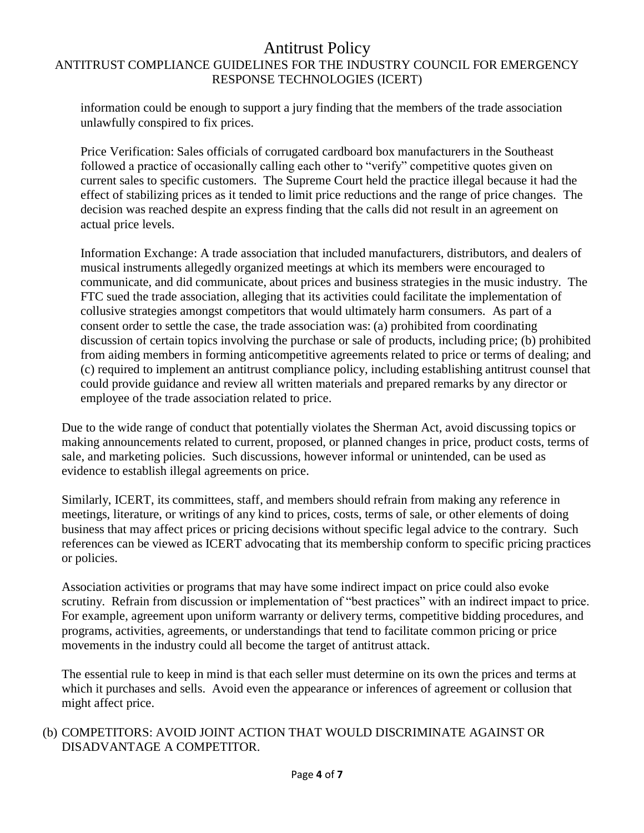information could be enough to support a jury finding that the members of the trade association unlawfully conspired to fix prices.

Price Verification: Sales officials of corrugated cardboard box manufacturers in the Southeast followed a practice of occasionally calling each other to "verify" competitive quotes given on current sales to specific customers. The Supreme Court held the practice illegal because it had the effect of stabilizing prices as it tended to limit price reductions and the range of price changes. The decision was reached despite an express finding that the calls did not result in an agreement on actual price levels.

Information Exchange: A trade association that included manufacturers, distributors, and dealers of musical instruments allegedly organized meetings at which its members were encouraged to communicate, and did communicate, about prices and business strategies in the music industry. The FTC sued the trade association, alleging that its activities could facilitate the implementation of collusive strategies amongst competitors that would ultimately harm consumers. As part of a consent order to settle the case, the trade association was: (a) prohibited from coordinating discussion of certain topics involving the purchase or sale of products, including price; (b) prohibited from aiding members in forming anticompetitive agreements related to price or terms of dealing; and (c) required to implement an antitrust compliance policy, including establishing antitrust counsel that could provide guidance and review all written materials and prepared remarks by any director or employee of the trade association related to price.

Due to the wide range of conduct that potentially violates the Sherman Act, avoid discussing topics or making announcements related to current, proposed, or planned changes in price, product costs, terms of sale, and marketing policies. Such discussions, however informal or unintended, can be used as evidence to establish illegal agreements on price.

Similarly, ICERT, its committees, staff, and members should refrain from making any reference in meetings, literature, or writings of any kind to prices, costs, terms of sale, or other elements of doing business that may affect prices or pricing decisions without specific legal advice to the contrary. Such references can be viewed as ICERT advocating that its membership conform to specific pricing practices or policies.

Association activities or programs that may have some indirect impact on price could also evoke scrutiny. Refrain from discussion or implementation of "best practices" with an indirect impact to price. For example, agreement upon uniform warranty or delivery terms, competitive bidding procedures, and programs, activities, agreements, or understandings that tend to facilitate common pricing or price movements in the industry could all become the target of antitrust attack.

The essential rule to keep in mind is that each seller must determine on its own the prices and terms at which it purchases and sells. Avoid even the appearance or inferences of agreement or collusion that might affect price.

### (b) COMPETITORS: AVOID JOINT ACTION THAT WOULD DISCRIMINATE AGAINST OR DISADVANTAGE A COMPETITOR.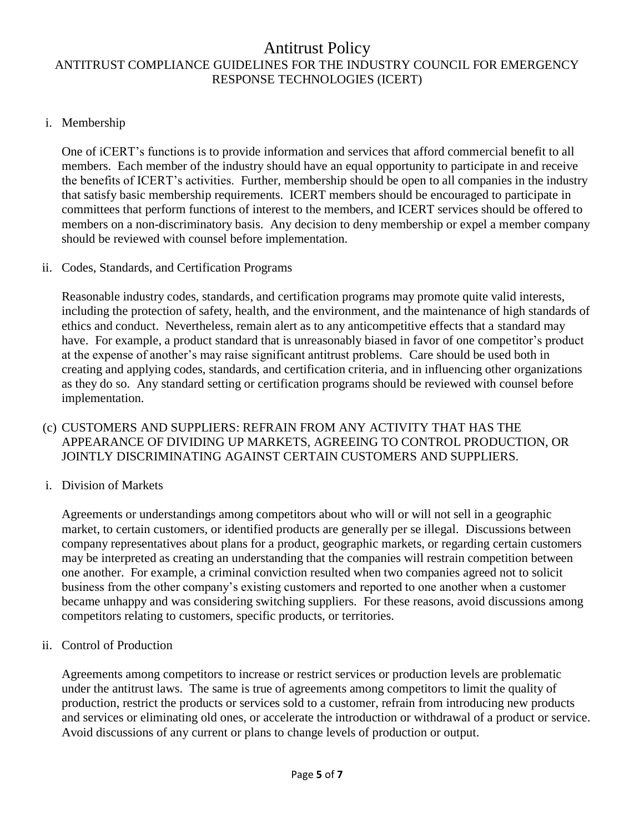### i. Membership

One of iCERT's functions is to provide information and services that afford commercial benefit to all members. Each member of the industry should have an equal opportunity to participate in and receive the benefits of ICERT's activities. Further, membership should be open to all companies in the industry that satisfy basic membership requirements. ICERT members should be encouraged to participate in committees that perform functions of interest to the members, and ICERT services should be offered to members on a non-discriminatory basis. Any decision to deny membership or expel a member company should be reviewed with counsel before implementation.

ii. Codes, Standards, and Certification Programs

Reasonable industry codes, standards, and certification programs may promote quite valid interests, including the protection of safety, health, and the environment, and the maintenance of high standards of ethics and conduct. Nevertheless, remain alert as to any anticompetitive effects that a standard may have. For example, a product standard that is unreasonably biased in favor of one competitor's product at the expense of another's may raise significant antitrust problems. Care should be used both in creating and applying codes, standards, and certification criteria, and in influencing other organizations as they do so. Any standard setting or certification programs should be reviewed with counsel before implementation.

- (c) CUSTOMERS AND SUPPLIERS: REFRAIN FROM ANY ACTIVITY THAT HAS THE APPEARANCE OF DIVIDING UP MARKETS, AGREEING TO CONTROL PRODUCTION, OR JOINTLY DISCRIMINATING AGAINST CERTAIN CUSTOMERS AND SUPPLIERS.
- i. Division of Markets

Agreements or understandings among competitors about who will or will not sell in a geographic market, to certain customers, or identified products are generally per se illegal. Discussions between company representatives about plans for a product, geographic markets, or regarding certain customers may be interpreted as creating an understanding that the companies will restrain competition between one another. For example, a criminal conviction resulted when two companies agreed not to solicit business from the other company's existing customers and reported to one another when a customer became unhappy and was considering switching suppliers. For these reasons, avoid discussions among competitors relating to customers, specific products, or territories.

ii. Control of Production

Agreements among competitors to increase or restrict services or production levels are problematic under the antitrust laws. The same is true of agreements among competitors to limit the quality of production, restrict the products or services sold to a customer, refrain from introducing new products and services or eliminating old ones, or accelerate the introduction or withdrawal of a product or service. Avoid discussions of any current or plans to change levels of production or output.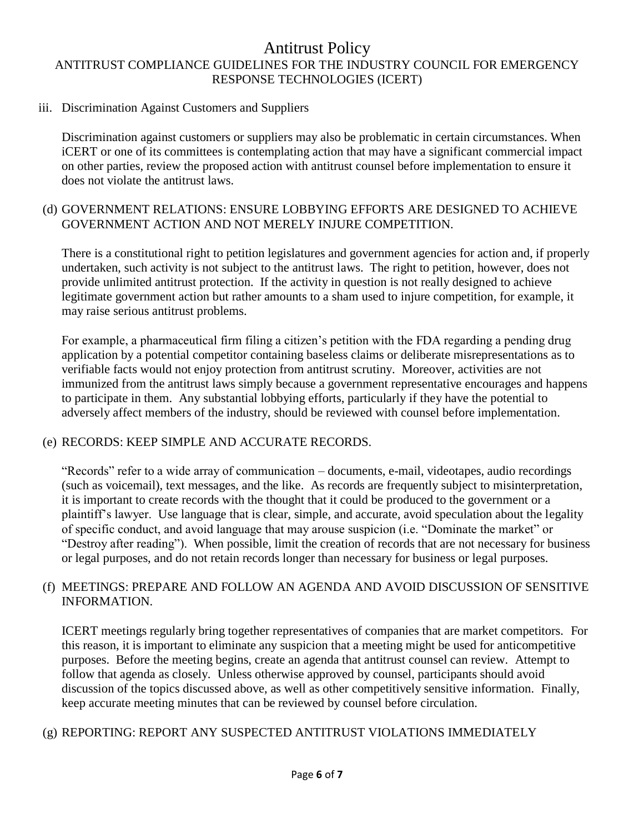#### iii. Discrimination Against Customers and Suppliers

Discrimination against customers or suppliers may also be problematic in certain circumstances. When iCERT or one of its committees is contemplating action that may have a significant commercial impact on other parties, review the proposed action with antitrust counsel before implementation to ensure it does not violate the antitrust laws.

#### (d) GOVERNMENT RELATIONS: ENSURE LOBBYING EFFORTS ARE DESIGNED TO ACHIEVE GOVERNMENT ACTION AND NOT MERELY INJURE COMPETITION.

There is a constitutional right to petition legislatures and government agencies for action and, if properly undertaken, such activity is not subject to the antitrust laws. The right to petition, however, does not provide unlimited antitrust protection. If the activity in question is not really designed to achieve legitimate government action but rather amounts to a sham used to injure competition, for example, it may raise serious antitrust problems.

For example, a pharmaceutical firm filing a citizen's petition with the FDA regarding a pending drug application by a potential competitor containing baseless claims or deliberate misrepresentations as to verifiable facts would not enjoy protection from antitrust scrutiny. Moreover, activities are not immunized from the antitrust laws simply because a government representative encourages and happens to participate in them. Any substantial lobbying efforts, particularly if they have the potential to adversely affect members of the industry, should be reviewed with counsel before implementation.

### (e) RECORDS: KEEP SIMPLE AND ACCURATE RECORDS.

"Records" refer to a wide array of communication – documents, e-mail, videotapes, audio recordings (such as voicemail), text messages, and the like. As records are frequently subject to misinterpretation, it is important to create records with the thought that it could be produced to the government or a plaintiff's lawyer. Use language that is clear, simple, and accurate, avoid speculation about the legality of specific conduct, and avoid language that may arouse suspicion (i.e. "Dominate the market" or "Destroy after reading"). When possible, limit the creation of records that are not necessary for business or legal purposes, and do not retain records longer than necessary for business or legal purposes.

### (f) MEETINGS: PREPARE AND FOLLOW AN AGENDA AND AVOID DISCUSSION OF SENSITIVE INFORMATION.

ICERT meetings regularly bring together representatives of companies that are market competitors. For this reason, it is important to eliminate any suspicion that a meeting might be used for anticompetitive purposes. Before the meeting begins, create an agenda that antitrust counsel can review. Attempt to follow that agenda as closely. Unless otherwise approved by counsel, participants should avoid discussion of the topics discussed above, as well as other competitively sensitive information. Finally, keep accurate meeting minutes that can be reviewed by counsel before circulation.

### (g) REPORTING: REPORT ANY SUSPECTED ANTITRUST VIOLATIONS IMMEDIATELY